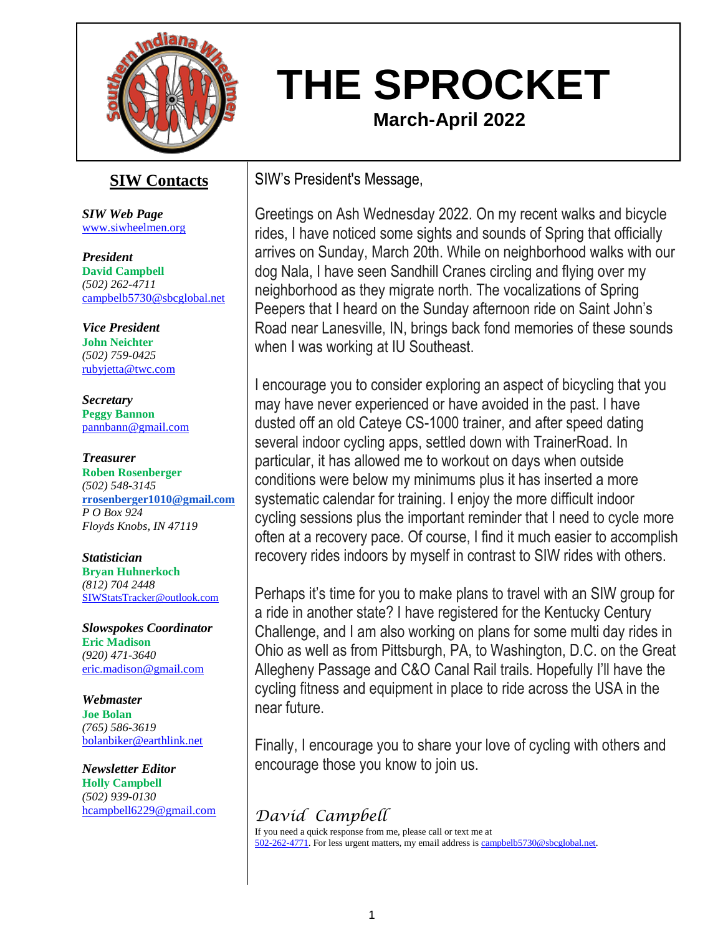

# **THE SPROCKET March-April 2022**

# **SIW Contacts**

*SIW Web Page* [www.siwheelmen.org](http://www.siwheelmen.org/)

*President* **David Campbell** *(502) 262-4711* [campbelb5730@sbcglobal.net](mailto:campbelb5730@sbcglobal.net)

*Vice President* **John Neichter** *(502) 759-0425* [rubyjetta@twc.com](mailto:rubyjetta@twc.com)

*Secretary* **Peggy Bannon** [pannbann@gmail.com](mailto:pannbann@gmail.com)

*Treasurer* **Roben Rosenberger** *(502) 548-3145* **[rrosenberger1010@gmail.com](mailto:rrosenberger1010@gmail.com)** *P O Box 924 Floyds Knobs, IN 47119*

*Statistician* **Bryan Huhnerkoch** *(812) 704 2448* [SIWStatsTracker@outlook.com](mailto:SIWStatsTracker@outlook.com)

*Slowspokes Coordinator* **Eric Madison** *(920) 471-3640* [eric.madison@gmail.com](mailto:jeannegy@aol.com)

*Webmaster* **Joe Bolan** *(765) 586-3619* [bolanbiker@earthlink.net](mailto:jeannegy@aol.com)

*Newsletter Editor* **Holly Campbell** *(502) 939-0130* [hcampbell6229@gmail.com](mailto:hcampbell6229@gmail.com) SIW's President's Message,

Greetings on Ash Wednesday 2022. On my recent walks and bicycle rides, I have noticed some sights and sounds of Spring that officially arrives on Sunday, March 20th. While on neighborhood walks with our dog Nala, I have seen Sandhill Cranes circling and flying over my neighborhood as they migrate north. The vocalizations of Spring Peepers that I heard on the Sunday afternoon ride on Saint John's Road near Lanesville, IN, brings back fond memories of these sounds when I was working at IU Southeast.

I encourage you to consider exploring an aspect of bicycling that you may have never experienced or have avoided in the past. I have dusted off an old Cateye CS-1000 trainer, and after speed dating several indoor cycling apps, settled down with TrainerRoad. In particular, it has allowed me to workout on days when outside conditions were below my minimums plus it has inserted a more systematic calendar for training. I enjoy the more difficult indoor cycling sessions plus the important reminder that I need to cycle more often at a recovery pace. Of course, I find it much easier to accomplish recovery rides indoors by myself in contrast to SIW rides with others.

Perhaps it's time for you to make plans to travel with an SIW group for a ride in another state? I have registered for the Kentucky Century Challenge, and I am also working on plans for some multi day rides in Ohio as well as from Pittsburgh, PA, to Washington, D.C. on the Great Allegheny Passage and C&O Canal Rail trails. Hopefully I'll have the cycling fitness and equipment in place to ride across the USA in the near future.

Finally, I encourage you to share your love of cycling with others and encourage those you know to join us.

# *David Campbell*

If you need a quick response from me, please call or text me at [502-262-4771.](tel://502-262-4771/) For less urgent matters, my email address i[s campbelb5730@sbcglobal.net.](mailto:campbelb5730@sbcglobal.net)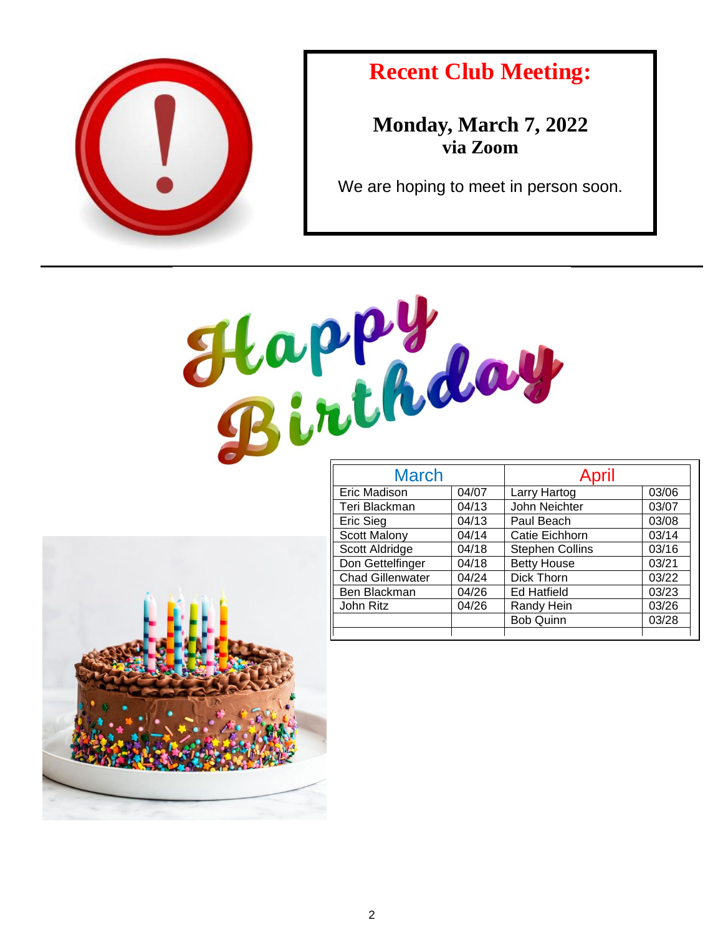

# **Recent Club Meeting:**

**Monday, March 7, 2022 via Zoom**

We are hoping to meet in person soon.



| <b>March</b>            |       | April                  |       |
|-------------------------|-------|------------------------|-------|
| Eric Madison            | 04/07 | Larry Hartog           | 03/06 |
| Teri Blackman           | 04/13 | John Neichter          | 03/07 |
| <b>Eric Sieg</b>        | 04/13 | Paul Beach             | 03/08 |
| <b>Scott Malony</b>     | 04/14 | Catie Eichhorn         | 03/14 |
| Scott Aldridge          | 04/18 | <b>Stephen Collins</b> | 03/16 |
| Don Gettelfinger        | 04/18 | <b>Betty House</b>     | 03/21 |
| <b>Chad Gillenwater</b> | 04/24 | Dick Thorn             | 03/22 |
| Ben Blackman            | 04/26 | <b>Ed Hatfield</b>     | 03/23 |
| John Ritz               | 04/26 | Randy Hein             | 03/26 |
|                         |       | <b>Bob Quinn</b>       | 03/28 |
|                         |       |                        |       |

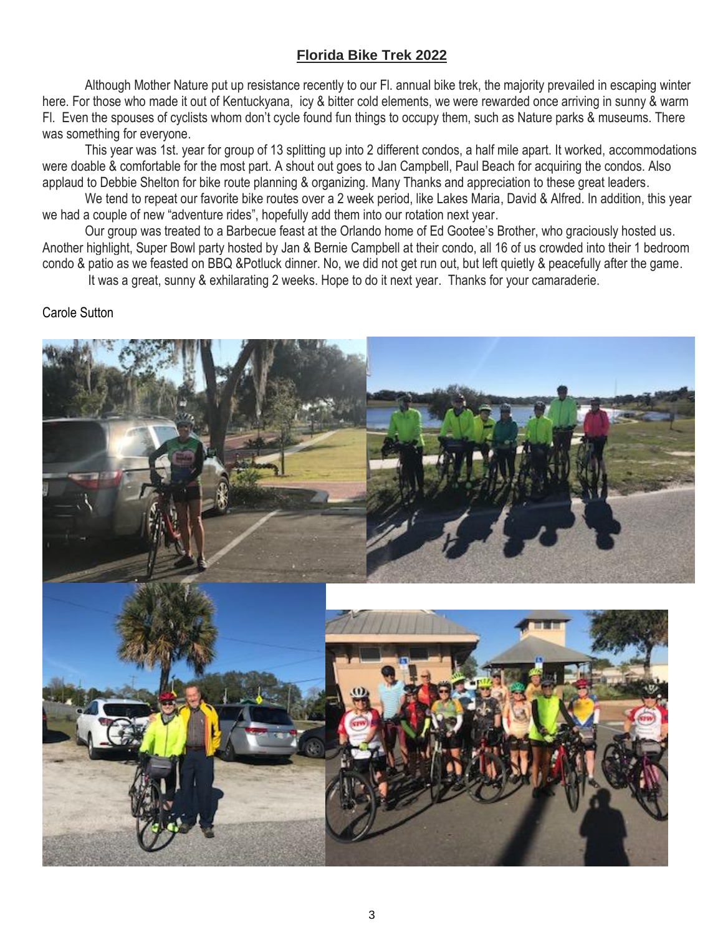### **Florida Bike Trek 2022**

Although Mother Nature put up resistance recently to our Fl. annual bike trek, the majority prevailed in escaping winter here. For those who made it out of Kentuckyana, icy & bitter cold elements, we were rewarded once arriving in sunny & warm Fl. Even the spouses of cyclists whom don't cycle found fun things to occupy them, such as Nature parks & museums. There was something for everyone.

This year was 1st. year for group of 13 splitting up into 2 different condos, a half mile apart. It worked, accommodations were doable & comfortable for the most part. A shout out goes to Jan Campbell, Paul Beach for acquiring the condos. Also applaud to Debbie Shelton for bike route planning & organizing. Many Thanks and appreciation to these great leaders.

We tend to repeat our favorite bike routes over a 2 week period, like Lakes Maria, David & Alfred. In addition, this year we had a couple of new "adventure rides", hopefully add them into our rotation next year.

Our group was treated to a Barbecue feast at the Orlando home of Ed Gootee's Brother, who graciously hosted us. Another highlight, Super Bowl party hosted by Jan & Bernie Campbell at their condo, all 16 of us crowded into their 1 bedroom condo & patio as we feasted on BBQ &Potluck dinner. No, we did not get run out, but left quietly & peacefully after the game.

It was a great, sunny & exhilarating 2 weeks. Hope to do it next year. Thanks for your camaraderie.

#### Carole Sutton